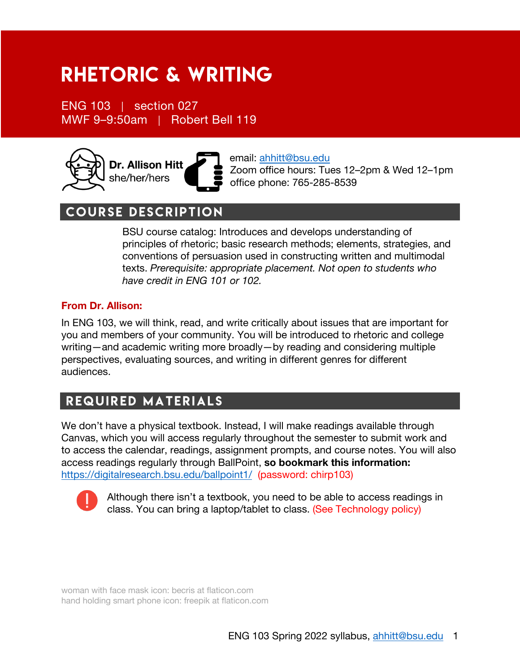# Rhetoric & Writing

ENG 103 | section 027 MWF 9–9:50am | Robert Bell 119



email: ahhitt@bsu.edu Zoom office hours: Tues 12–2pm & Wed 12–1pm office phone: 765-285-8539

# course description

BSU course catalog: Introduces and develops understanding of principles of rhetoric; basic research methods; elements, strategies, and conventions of persuasion used in constructing written and multimodal texts. *Prerequisite: appropriate placement. Not open to students who have credit in ENG 101 or 102.*

## **From Dr. Allison:**

In ENG 103, we will think, read, and write critically about issues that are important for you and members of your community. You will be introduced to rhetoric and college writing—and academic writing more broadly—by reading and considering multiple perspectives, evaluating sources, and writing in different genres for different audiences.

# required materials

We don't have a physical textbook. Instead, I will make readings available through Canvas, which you will access regularly throughout the semester to submit work and to access the calendar, readings, assignment prompts, and course notes. You will also access readings regularly through BallPoint, **so bookmark this information:**  https://digitalresearch.bsu.edu/ballpoint1/ (password: chirp103)



Although there isn't a textbook, you need to be able to access readings in class. You can bring a laptop/tablet to class. (See Technology policy)

woman with face mask icon: becris at flaticon.com hand holding smart phone icon: freepik at flaticon.com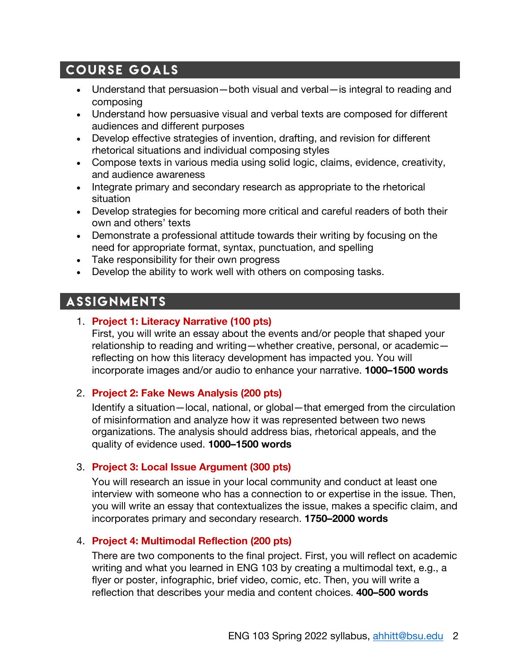# course goals

- Understand that persuasion—both visual and verbal—is integral to reading and composing
- Understand how persuasive visual and verbal texts are composed for different audiences and different purposes
- Develop effective strategies of invention, drafting, and revision for different rhetorical situations and individual composing styles
- Compose texts in various media using solid logic, claims, evidence, creativity, and audience awareness
- Integrate primary and secondary research as appropriate to the rhetorical situation
- Develop strategies for becoming more critical and careful readers of both their own and others' texts
- Demonstrate a professional attitude towards their writing by focusing on the need for appropriate format, syntax, punctuation, and spelling
- Take responsibility for their own progress
- Develop the ability to work well with others on composing tasks.

# **ASSIGNMENTS**

## 1. **Project 1: Literacy Narrative (100 pts)**

First, you will write an essay about the events and/or people that shaped your relationship to reading and writing—whether creative, personal, or academic reflecting on how this literacy development has impacted you. You will incorporate images and/or audio to enhance your narrative. **1000–1500 words**

## 2. **Project 2: Fake News Analysis (200 pts)**

Identify a situation—local, national, or global—that emerged from the circulation of misinformation and analyze how it was represented between two news organizations. The analysis should address bias, rhetorical appeals, and the quality of evidence used. **1000–1500 words**

## 3. **Project 3: Local Issue Argument (300 pts)**

You will research an issue in your local community and conduct at least one interview with someone who has a connection to or expertise in the issue. Then, you will write an essay that contextualizes the issue, makes a specific claim, and incorporates primary and secondary research. **1750–2000 words**

## 4. **Project 4: Multimodal Reflection (200 pts)**

There are two components to the final project. First, you will reflect on academic writing and what you learned in ENG 103 by creating a multimodal text, e.g., a flyer or poster, infographic, brief video, comic, etc. Then, you will write a reflection that describes your media and content choices. **400–500 words**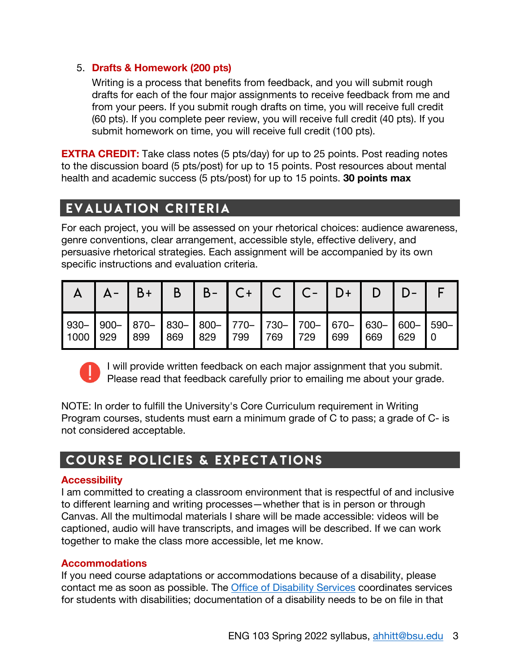## 5. **Drafts & Homework (200 pts)**

Writing is a process that benefits from feedback, and you will submit rough drafts for each of the four major assignments to receive feedback from me and from your peers. If you submit rough drafts on time, you will receive full credit (60 pts). If you complete peer review, you will receive full credit (40 pts). If you submit homework on time, you will receive full credit (100 pts).

**EXTRA CREDIT:** Take class notes (5 pts/day) for up to 25 points. Post reading notes to the discussion board (5 pts/post) for up to 15 points. Post resources about mental health and academic success (5 pts/post) for up to 15 points. **30 points max**

# evaluation criteria

For each project, you will be assessed on your rhetorical choices: audience awareness, genre conventions, clear arrangement, accessible style, effective delivery, and persuasive rhetorical strategies. Each assignment will be accompanied by its own specific instructions and evaluation criteria.

|          | $A -$ | $\vert B+ \vert$                                                                 |     |             |     |         | $B$   B-   C+   C   C-   D+   D |     |     |  |
|----------|-------|----------------------------------------------------------------------------------|-----|-------------|-----|---------|---------------------------------|-----|-----|--|
| 1000 929 |       | 930-  900-  870-  830-  800-  770-  730-  700-  670-  630-  600-  590-  <br> 899 | 869 | $\vert$ 829 | 799 | 769 729 | $\sqrt{699}$                    | 669 | 629 |  |



I will provide written feedback on each major assignment that you submit. Please read that feedback carefully prior to emailing me about your grade.

NOTE: In order to fulfill the University's Core Curriculum requirement in Writing Program courses, students must earn a minimum grade of C to pass; a grade of C- is not considered acceptable.

# Course policies & Expectations

## **Accessibility**

I am committed to creating a classroom environment that is respectful of and inclusive to different learning and writing processes—whether that is in person or through Canvas. All the multimodal materials I share will be made accessible: videos will be captioned, audio will have transcripts, and images will be described. If we can work together to make the class more accessible, let me know.

## **Accommodations**

If you need course adaptations or accommodations because of a disability, please contact me as soon as possible. The Office of Disability Services coordinates services for students with disabilities; documentation of a disability needs to be on file in that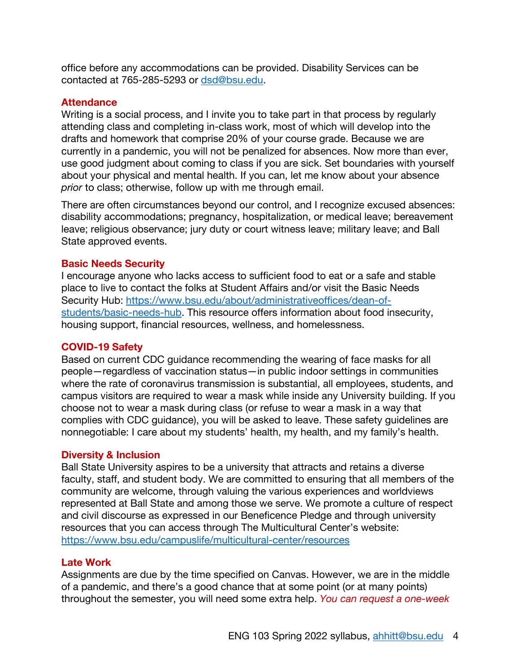office before any accommodations can be provided. Disability Services can be contacted at 765-285-5293 or dsd@bsu.edu.

#### **Attendance**

Writing is a social process, and I invite you to take part in that process by regularly attending class and completing in-class work, most of which will develop into the drafts and homework that comprise 20% of your course grade. Because we are currently in a pandemic, you will not be penalized for absences. Now more than ever, use good judgment about coming to class if you are sick. Set boundaries with yourself about your physical and mental health. If you can, let me know about your absence *prior* to class; otherwise, follow up with me through email.

There are often circumstances beyond our control, and I recognize excused absences: disability accommodations; pregnancy, hospitalization, or medical leave; bereavement leave; religious observance; jury duty or court witness leave; military leave; and Ball State approved events.

#### **Basic Needs Security**

I encourage anyone who lacks access to sufficient food to eat or a safe and stable place to live to contact the folks at Student Affairs and/or visit the Basic Needs Security Hub: https://www.bsu.edu/about/administrativeoffices/dean-ofstudents/basic-needs-hub. This resource offers information about food insecurity, housing support, financial resources, wellness, and homelessness.

#### **COVID-19 Safety**

Based on current CDC guidance recommending the wearing of face masks for all people—regardless of vaccination status—in public indoor settings in communities where the rate of coronavirus transmission is substantial, all employees, students, and campus visitors are required to wear a mask while inside any University building. If you choose not to wear a mask during class (or refuse to wear a mask in a way that complies with CDC guidance), you will be asked to leave. These safety guidelines are nonnegotiable: I care about my students' health, my health, and my family's health.

#### **Diversity & Inclusion**

Ball State University aspires to be a university that attracts and retains a diverse faculty, staff, and student body. We are committed to ensuring that all members of the community are welcome, through valuing the various experiences and worldviews represented at Ball State and among those we serve. We promote a culture of respect and civil discourse as expressed in our Beneficence Pledge and through university resources that you can access through The Multicultural Center's website: https://www.bsu.edu/campuslife/multicultural-center/resources

#### **Late Work**

Assignments are due by the time specified on Canvas. However, we are in the middle of a pandemic, and there's a good chance that at some point (or at many points) throughout the semester, you will need some extra help. *You can request a one-week*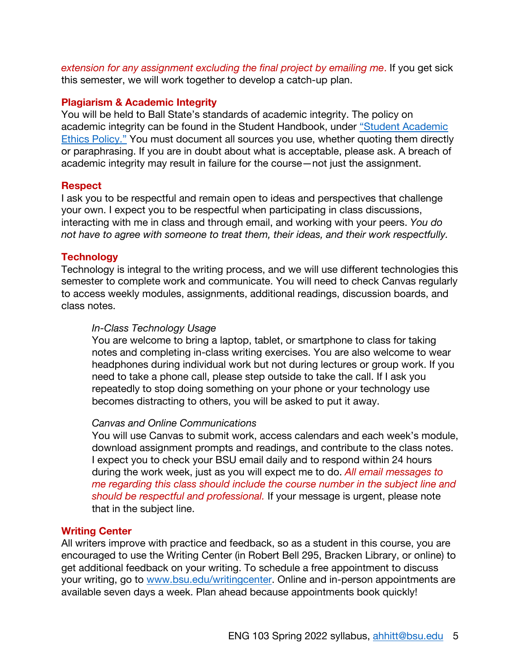*extension for any assignment excluding the final project by emailing me*. If you get sick this semester, we will work together to develop a catch-up plan.

### **Plagiarism & Academic Integrity**

You will be held to Ball State's standards of academic integrity. The policy on academic integrity can be found in the Student Handbook, under "Student Academic Ethics Policy." You must document all sources you use, whether quoting them directly or paraphrasing. If you are in doubt about what is acceptable, please ask. A breach of academic integrity may result in failure for the course—not just the assignment.

#### **Respect**

I ask you to be respectful and remain open to ideas and perspectives that challenge your own. I expect you to be respectful when participating in class discussions, interacting with me in class and through email, and working with your peers. *You do not have to agree with someone to treat them, their ideas, and their work respectfully.*

## **Technology**

Technology is integral to the writing process, and we will use different technologies this semester to complete work and communicate. You will need to check Canvas regularly to access weekly modules, assignments, additional readings, discussion boards, and class notes.

## *In-Class Technology Usage*

You are welcome to bring a laptop, tablet, or smartphone to class for taking notes and completing in-class writing exercises. You are also welcome to wear headphones during individual work but not during lectures or group work. If you need to take a phone call, please step outside to take the call. If I ask you repeatedly to stop doing something on your phone or your technology use becomes distracting to others, you will be asked to put it away.

#### *Canvas and Online Communications*

You will use Canvas to submit work, access calendars and each week's module, download assignment prompts and readings, and contribute to the class notes. I expect you to check your BSU email daily and to respond within 24 hours during the work week, just as you will expect me to do. *All email messages to me regarding this class should include the course number in the subject line and should be respectful and professional.* If your message is urgent, please note that in the subject line.

## **Writing Center**

All writers improve with practice and feedback, so as a student in this course, you are encouraged to use the Writing Center (in Robert Bell 295, Bracken Library, or online) to get additional feedback on your writing. To schedule a free appointment to discuss your writing, go to www.bsu.edu/writingcenter. Online and in-person appointments are available seven days a week. Plan ahead because appointments book quickly!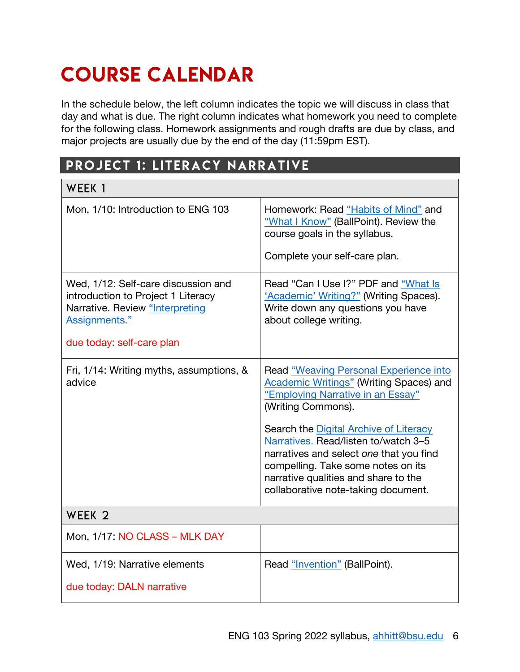# COURSE CALENDAR

In the schedule below, the left column indicates the topic we will discuss in class that day and what is due. The right column indicates what homework you need to complete for the following class. Homework assignments and rough drafts are due by class, and major projects are usually due by the end of the day (11:59pm EST).

# PROJECT 1: LITERACY NARRATIVE

| WEEK 1                                                                                                                                                     |                                                                                                                                                                                                                                                                                                                                                                                                       |
|------------------------------------------------------------------------------------------------------------------------------------------------------------|-------------------------------------------------------------------------------------------------------------------------------------------------------------------------------------------------------------------------------------------------------------------------------------------------------------------------------------------------------------------------------------------------------|
| Mon, 1/10: Introduction to ENG 103                                                                                                                         | Homework: Read "Habits of Mind" and<br>"What I Know" (BallPoint). Review the<br>course goals in the syllabus.                                                                                                                                                                                                                                                                                         |
|                                                                                                                                                            | Complete your self-care plan.                                                                                                                                                                                                                                                                                                                                                                         |
| Wed, 1/12: Self-care discussion and<br>introduction to Project 1 Literacy<br>Narrative. Review "Interpreting<br>Assignments."<br>due today: self-care plan | Read "Can I Use I?" PDF and "What Is<br>'Academic' Writing?" (Writing Spaces).<br>Write down any questions you have<br>about college writing.                                                                                                                                                                                                                                                         |
| Fri, 1/14: Writing myths, assumptions, &<br>advice                                                                                                         | Read "Weaving Personal Experience into<br><b>Academic Writings"</b> (Writing Spaces) and<br>"Employing Narrative in an Essay"<br>(Writing Commons).<br>Search the Digital Archive of Literacy<br>Narratives. Read/listen to/watch 3-5<br>narratives and select one that you find<br>compelling. Take some notes on its<br>narrative qualities and share to the<br>collaborative note-taking document. |
| WEEK <sub>2</sub>                                                                                                                                          |                                                                                                                                                                                                                                                                                                                                                                                                       |
| Mon, 1/17: NO CLASS - MLK DAY                                                                                                                              |                                                                                                                                                                                                                                                                                                                                                                                                       |
| Wed, 1/19: Narrative elements<br>due today: DALN narrative                                                                                                 | Read "Invention" (BallPoint).                                                                                                                                                                                                                                                                                                                                                                         |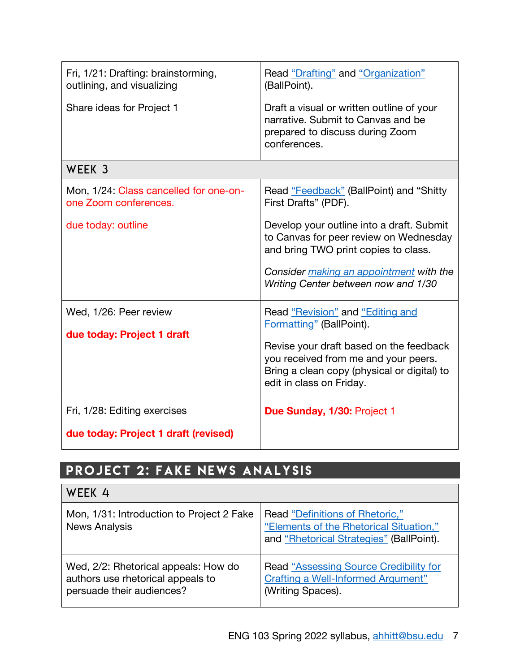| Fri, 1/21: Drafting: brainstorming,<br>outlining, and visualizing | Read "Drafting" and "Organization"<br>(BallPoint).                                                                                                                                                            |
|-------------------------------------------------------------------|---------------------------------------------------------------------------------------------------------------------------------------------------------------------------------------------------------------|
| Share ideas for Project 1                                         | Draft a visual or written outline of your<br>narrative. Submit to Canvas and be<br>prepared to discuss during Zoom<br>conferences.                                                                            |
| WEEK 3                                                            |                                                                                                                                                                                                               |
| Mon, 1/24: Class cancelled for one-on-<br>one Zoom conferences.   | Read "Feedback" (BallPoint) and "Shitty<br>First Drafts" (PDF).                                                                                                                                               |
| due today: outline                                                | Develop your outline into a draft. Submit<br>to Canvas for peer review on Wednesday<br>and bring TWO print copies to class.<br>Consider making an appointment with the<br>Writing Center between now and 1/30 |
| Wed, 1/26: Peer review                                            | Read "Revision" and "Editing and<br>Formatting" (BallPoint).                                                                                                                                                  |
| due today: Project 1 draft                                        | Revise your draft based on the feedback<br>you received from me and your peers.<br>Bring a clean copy (physical or digital) to<br>edit in class on Friday.                                                    |
| Fri, 1/28: Editing exercises                                      | Due Sunday, 1/30: Project 1                                                                                                                                                                                   |
| due today: Project 1 draft (revised)                              |                                                                                                                                                                                                               |

# Project 2: Fake News Analysis

| WEEK 4                                                                                                 |                                                                                                                        |
|--------------------------------------------------------------------------------------------------------|------------------------------------------------------------------------------------------------------------------------|
| Mon, 1/31: Introduction to Project 2 Fake<br><b>News Analysis</b>                                      | Read "Definitions of Rhetoric,"<br>"Elements of the Rhetorical Situation,"<br>and "Rhetorical Strategies" (BallPoint). |
| Wed, 2/2: Rhetorical appeals: How do<br>authors use rhetorical appeals to<br>persuade their audiences? | <b>Read "Assessing Source Credibility for</b><br><b>Crafting a Well-Informed Argument"</b><br>(Writing Spaces).        |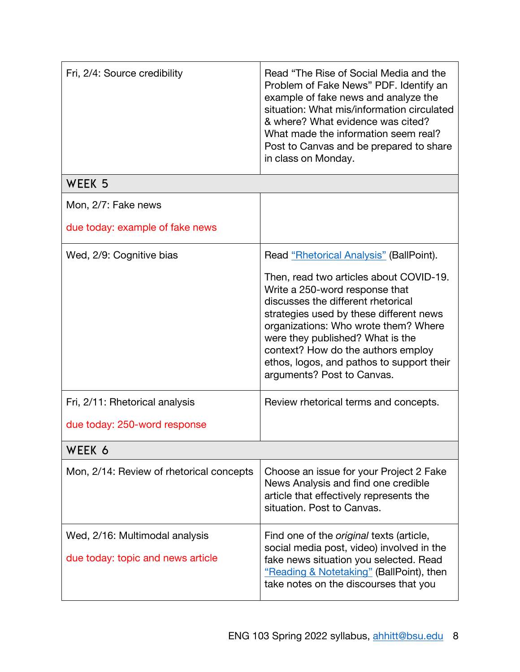| Fri, 2/4: Source credibility                                        | Read "The Rise of Social Media and the<br>Problem of Fake News" PDF. Identify an<br>example of fake news and analyze the<br>situation: What mis/information circulated<br>& where? What evidence was cited?<br>What made the information seem real?<br>Post to Canvas and be prepared to share<br>in class on Monday.                                                                                                                       |
|---------------------------------------------------------------------|---------------------------------------------------------------------------------------------------------------------------------------------------------------------------------------------------------------------------------------------------------------------------------------------------------------------------------------------------------------------------------------------------------------------------------------------|
| WEEK 5                                                              |                                                                                                                                                                                                                                                                                                                                                                                                                                             |
| Mon, 2/7: Fake news                                                 |                                                                                                                                                                                                                                                                                                                                                                                                                                             |
| due today: example of fake news                                     |                                                                                                                                                                                                                                                                                                                                                                                                                                             |
| Wed, 2/9: Cognitive bias<br>Fri, 2/11: Rhetorical analysis          | Read "Rhetorical Analysis" (BallPoint).<br>Then, read two articles about COVID-19.<br>Write a 250-word response that<br>discusses the different rhetorical<br>strategies used by these different news<br>organizations: Who wrote them? Where<br>were they published? What is the<br>context? How do the authors employ<br>ethos, logos, and pathos to support their<br>arguments? Post to Canvas.<br>Review rhetorical terms and concepts. |
| due today: 250-word response                                        |                                                                                                                                                                                                                                                                                                                                                                                                                                             |
| WEEK 6                                                              |                                                                                                                                                                                                                                                                                                                                                                                                                                             |
| Mon, 2/14: Review of rhetorical concepts                            | Choose an issue for your Project 2 Fake<br>News Analysis and find one credible<br>article that effectively represents the<br>situation. Post to Canvas.                                                                                                                                                                                                                                                                                     |
| Wed, 2/16: Multimodal analysis<br>due today: topic and news article | Find one of the <i>original</i> texts (article,<br>social media post, video) involved in the<br>fake news situation you selected. Read<br>"Reading & Notetaking" (BallPoint), then<br>take notes on the discourses that you                                                                                                                                                                                                                 |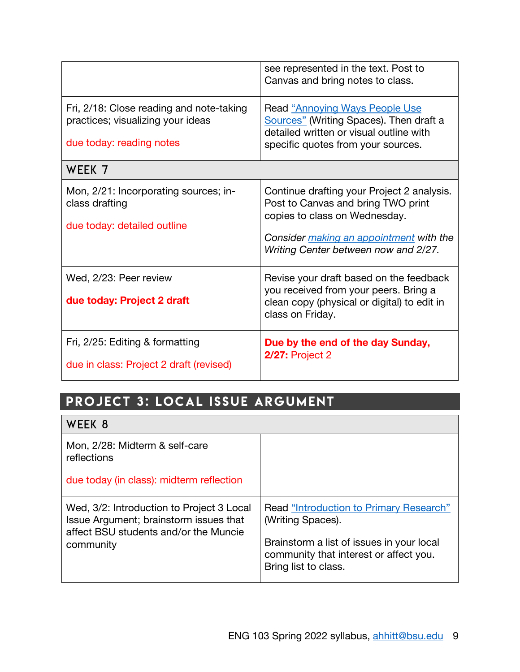|                                                                                                           | see represented in the text. Post to<br>Canvas and bring notes to class.                                                                                                                             |
|-----------------------------------------------------------------------------------------------------------|------------------------------------------------------------------------------------------------------------------------------------------------------------------------------------------------------|
| Fri, 2/18: Close reading and note-taking<br>practices; visualizing your ideas<br>due today: reading notes | <b>Read "Annoying Ways People Use</b><br>Sources" (Writing Spaces). Then draft a<br>detailed written or visual outline with<br>specific quotes from your sources.                                    |
| WEEK 7                                                                                                    |                                                                                                                                                                                                      |
| Mon, 2/21: Incorporating sources; in-<br>class drafting<br>due today: detailed outline                    | Continue drafting your Project 2 analysis.<br>Post to Canvas and bring TWO print<br>copies to class on Wednesday.<br>Consider making an appointment with the<br>Writing Center between now and 2/27. |
| Wed, 2/23: Peer review<br>due today: Project 2 draft                                                      | Revise your draft based on the feedback<br>you received from your peers. Bring a<br>clean copy (physical or digital) to edit in<br>class on Friday.                                                  |
| Fri, 2/25: Editing & formatting<br>due in class: Project 2 draft (revised)                                | Due by the end of the day Sunday,<br><b>2/27: Project 2</b>                                                                                                                                          |

# PROJECT 3: LOCAL ISSUE ARGUMENT

| WEEK 8                                                                                                                                    |                                                                                                                                                     |
|-------------------------------------------------------------------------------------------------------------------------------------------|-----------------------------------------------------------------------------------------------------------------------------------------------------|
| Mon, 2/28: Midterm & self-care<br>reflections                                                                                             |                                                                                                                                                     |
| due today (in class): midterm reflection                                                                                                  |                                                                                                                                                     |
| Wed, 3/2: Introduction to Project 3 Local<br>Issue Argument; brainstorm issues that<br>affect BSU students and/or the Muncie<br>community | Read "Introduction to Primary Research"<br>(Writing Spaces).<br>Brainstorm a list of issues in your local<br>community that interest or affect you. |
|                                                                                                                                           | Bring list to class.                                                                                                                                |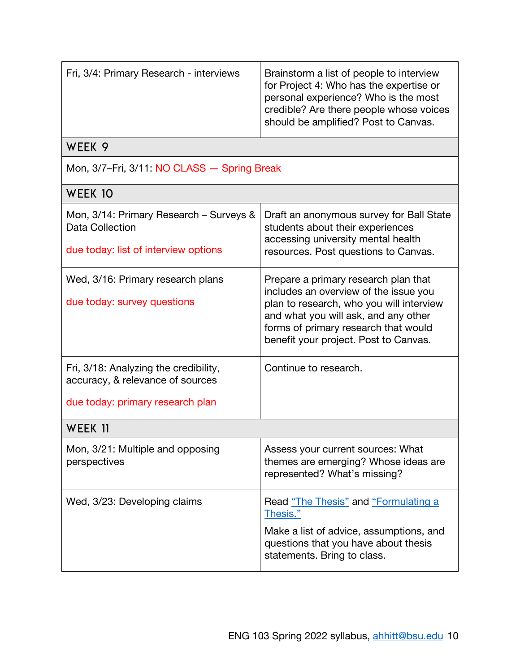| Fri, 3/4: Primary Research - interviews                                                                       | Brainstorm a list of people to interview<br>for Project 4: Who has the expertise or<br>personal experience? Who is the most<br>credible? Are there people whose voices<br>should be amplified? Post to Canvas.                                     |  |  |  |
|---------------------------------------------------------------------------------------------------------------|----------------------------------------------------------------------------------------------------------------------------------------------------------------------------------------------------------------------------------------------------|--|--|--|
| WEEK 9                                                                                                        |                                                                                                                                                                                                                                                    |  |  |  |
| Mon, 3/7-Fri, 3/11: NO CLASS - Spring Break                                                                   |                                                                                                                                                                                                                                                    |  |  |  |
| WEEK 10                                                                                                       |                                                                                                                                                                                                                                                    |  |  |  |
| Mon, 3/14: Primary Research – Surveys &<br>Data Collection<br>due today: list of interview options            | Draft an anonymous survey for Ball State<br>students about their experiences<br>accessing university mental health<br>resources. Post questions to Canvas.                                                                                         |  |  |  |
| Wed, 3/16: Primary research plans<br>due today: survey questions                                              | Prepare a primary research plan that<br>includes an overview of the issue you<br>plan to research, who you will interview<br>and what you will ask, and any other<br>forms of primary research that would<br>benefit your project. Post to Canvas. |  |  |  |
| Fri, 3/18: Analyzing the credibility,<br>accuracy, & relevance of sources<br>due today: primary research plan | Continue to research.                                                                                                                                                                                                                              |  |  |  |
| WEEK 11                                                                                                       |                                                                                                                                                                                                                                                    |  |  |  |
| Mon, 3/21: Multiple and opposing<br>perspectives                                                              | Assess your current sources: What<br>themes are emerging? Whose ideas are<br>represented? What's missing?                                                                                                                                          |  |  |  |
| Wed, 3/23: Developing claims                                                                                  | Read "The Thesis" and "Formulating a<br>Thesis."<br>Make a list of advice, assumptions, and<br>questions that you have about thesis<br>statements. Bring to class.                                                                                 |  |  |  |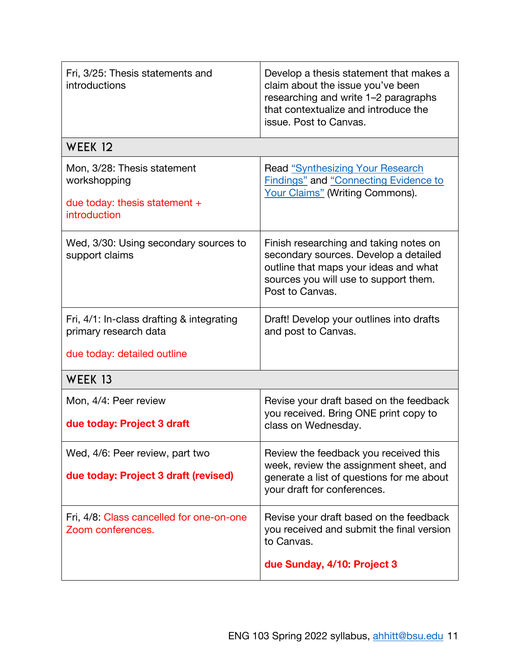| Fri, 3/25: Thesis statements and<br>introductions                                                 | Develop a thesis statement that makes a<br>claim about the issue you've been<br>researching and write 1–2 paragraphs<br>that contextualize and introduce the<br>issue. Post to Canvas. |
|---------------------------------------------------------------------------------------------------|----------------------------------------------------------------------------------------------------------------------------------------------------------------------------------------|
| WEEK 12                                                                                           |                                                                                                                                                                                        |
| Mon, 3/28: Thesis statement<br>workshopping<br>due today: thesis statement $+$<br>introduction    | <b>Read "Synthesizing Your Research"</b><br><b>Findings" and "Connecting Evidence to</b><br>Your Claims" (Writing Commons).                                                            |
| Wed, 3/30: Using secondary sources to<br>support claims                                           | Finish researching and taking notes on<br>secondary sources. Develop a detailed<br>outline that maps your ideas and what<br>sources you will use to support them.<br>Post to Canvas.   |
| Fri, 4/1: In-class drafting & integrating<br>primary research data<br>due today: detailed outline | Draft! Develop your outlines into drafts<br>and post to Canvas.                                                                                                                        |
| WEEK 13                                                                                           |                                                                                                                                                                                        |
| Mon, 4/4: Peer review<br>due today: Project 3 draft                                               | Revise your draft based on the feedback<br>you received. Bring ONE print copy to<br>class on Wednesday.                                                                                |
| Wed, 4/6: Peer review, part two<br>due today: Project 3 draft (revised)                           | Review the feedback you received this<br>week, review the assignment sheet, and<br>generate a list of questions for me about<br>your draft for conferences.                            |
| Fri, 4/8: Class cancelled for one-on-one<br>Zoom conferences.                                     | Revise your draft based on the feedback<br>you received and submit the final version<br>to Canvas.<br>due Sunday, 4/10: Project 3                                                      |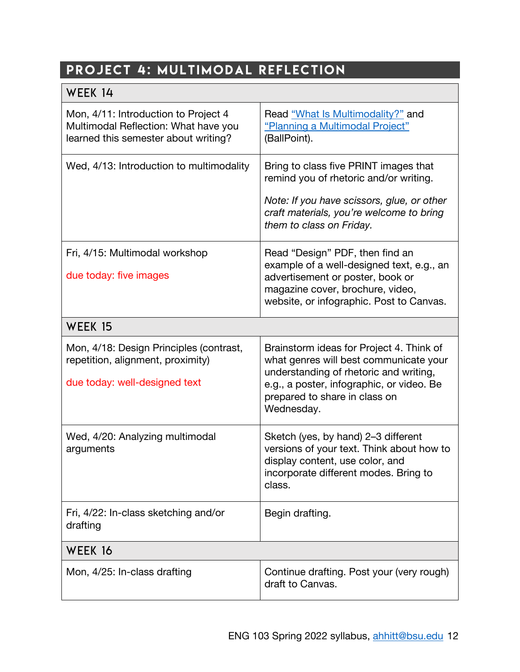# PROJECT 4: MULTIMODAL REFLECTION

| WEEK 14                                                                                                              |                                                                                                                                                                                                                          |
|----------------------------------------------------------------------------------------------------------------------|--------------------------------------------------------------------------------------------------------------------------------------------------------------------------------------------------------------------------|
| Mon, 4/11: Introduction to Project 4<br>Multimodal Reflection: What have you<br>learned this semester about writing? | Read "What Is Multimodality?" and<br>"Planning a Multimodal Project"<br>(BallPoint).                                                                                                                                     |
| Wed, 4/13: Introduction to multimodality                                                                             | Bring to class five PRINT images that<br>remind you of rhetoric and/or writing.                                                                                                                                          |
|                                                                                                                      | Note: If you have scissors, glue, or other<br>craft materials, you're welcome to bring<br>them to class on Friday.                                                                                                       |
| Fri, 4/15: Multimodal workshop                                                                                       | Read "Design" PDF, then find an<br>example of a well-designed text, e.g., an                                                                                                                                             |
| due today: five images                                                                                               | advertisement or poster, book or<br>magazine cover, brochure, video,<br>website, or infographic. Post to Canvas.                                                                                                         |
| WEEK 15                                                                                                              |                                                                                                                                                                                                                          |
| Mon, 4/18: Design Principles (contrast,<br>repetition, alignment, proximity)<br>due today: well-designed text        | Brainstorm ideas for Project 4. Think of<br>what genres will best communicate your<br>understanding of rhetoric and writing,<br>e.g., a poster, infographic, or video. Be<br>prepared to share in class on<br>Wednesday. |
| Wed, 4/20: Analyzing multimodal<br>arguments                                                                         | Sketch (yes, by hand) 2-3 different<br>versions of your text. Think about how to<br>display content, use color, and<br>incorporate different modes. Bring to<br>class.                                                   |
| Fri, 4/22: In-class sketching and/or<br>drafting                                                                     | Begin drafting.                                                                                                                                                                                                          |
| WEEK 16                                                                                                              |                                                                                                                                                                                                                          |
| Mon, 4/25: In-class drafting                                                                                         | Continue drafting. Post your (very rough)<br>draft to Canvas.                                                                                                                                                            |

┑